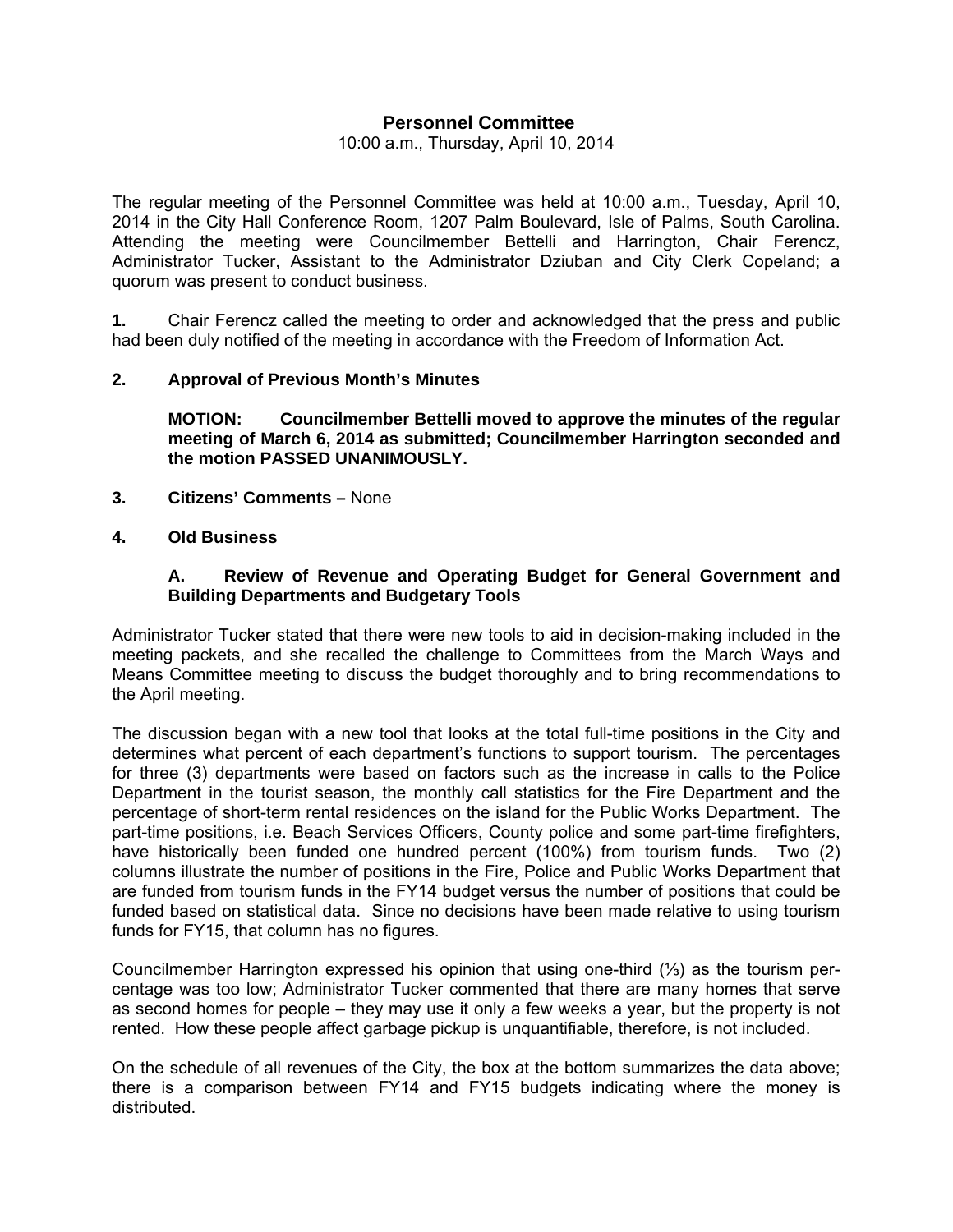# **Personnel Committee**

#### 10:00 a.m., Thursday, April 10, 2014

The regular meeting of the Personnel Committee was held at 10:00 a.m., Tuesday, April 10, 2014 in the City Hall Conference Room, 1207 Palm Boulevard, Isle of Palms, South Carolina. Attending the meeting were Councilmember Bettelli and Harrington, Chair Ferencz, Administrator Tucker, Assistant to the Administrator Dziuban and City Clerk Copeland; a quorum was present to conduct business.

**1.** Chair Ferencz called the meeting to order and acknowledged that the press and public had been duly notified of the meeting in accordance with the Freedom of Information Act.

### **2. Approval of Previous Month's Minutes**

 **MOTION: Councilmember Bettelli moved to approve the minutes of the regular meeting of March 6, 2014 as submitted; Councilmember Harrington seconded and the motion PASSED UNANIMOUSLY.** 

- **3. Citizens' Comments** None
- **4. Old Business**

#### **A. Review of Revenue and Operating Budget for General Government and Building Departments and Budgetary Tools**

Administrator Tucker stated that there were new tools to aid in decision-making included in the meeting packets, and she recalled the challenge to Committees from the March Ways and Means Committee meeting to discuss the budget thoroughly and to bring recommendations to the April meeting.

The discussion began with a new tool that looks at the total full-time positions in the City and determines what percent of each department's functions to support tourism. The percentages for three (3) departments were based on factors such as the increase in calls to the Police Department in the tourist season, the monthly call statistics for the Fire Department and the percentage of short-term rental residences on the island for the Public Works Department. The part-time positions, i.e. Beach Services Officers, County police and some part-time firefighters, have historically been funded one hundred percent (100%) from tourism funds. Two (2) columns illustrate the number of positions in the Fire, Police and Public Works Department that are funded from tourism funds in the FY14 budget versus the number of positions that could be funded based on statistical data. Since no decisions have been made relative to using tourism funds for FY15, that column has no figures.

Councilmember Harrington expressed his opinion that using one-third (⅓) as the tourism percentage was too low; Administrator Tucker commented that there are many homes that serve as second homes for people – they may use it only a few weeks a year, but the property is not rented. How these people affect garbage pickup is unquantifiable, therefore, is not included.

On the schedule of all revenues of the City, the box at the bottom summarizes the data above; there is a comparison between FY14 and FY15 budgets indicating where the money is distributed.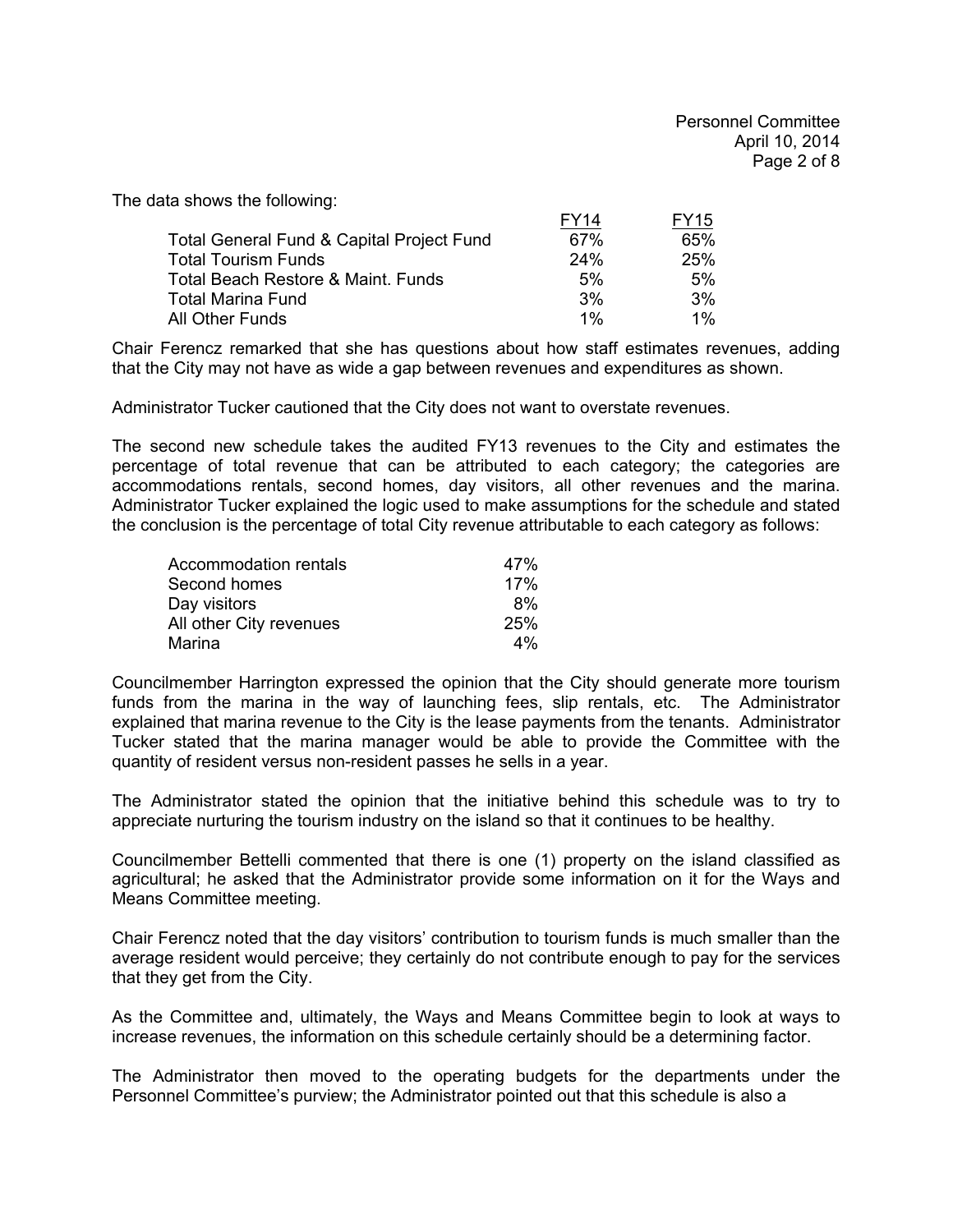The data shows the following:

|                                                      | FY14 | FY15  |
|------------------------------------------------------|------|-------|
| <b>Total General Fund &amp; Capital Project Fund</b> | 67%  | 65%   |
| <b>Total Tourism Funds</b>                           | 24%  | 25%   |
| Total Beach Restore & Maint. Funds                   | 5%   | 5%    |
| <b>Total Marina Fund</b>                             | 3%   | 3%    |
| All Other Funds                                      | 1%   | $1\%$ |

Chair Ferencz remarked that she has questions about how staff estimates revenues, adding that the City may not have as wide a gap between revenues and expenditures as shown.

Administrator Tucker cautioned that the City does not want to overstate revenues.

The second new schedule takes the audited FY13 revenues to the City and estimates the percentage of total revenue that can be attributed to each category; the categories are accommodations rentals, second homes, day visitors, all other revenues and the marina. Administrator Tucker explained the logic used to make assumptions for the schedule and stated the conclusion is the percentage of total City revenue attributable to each category as follows:

| Accommodation rentals   | 47% |
|-------------------------|-----|
| Second homes            | 17% |
| Day visitors            | 8%  |
| All other City revenues | 25% |
| Marina                  | 4%  |

Councilmember Harrington expressed the opinion that the City should generate more tourism funds from the marina in the way of launching fees, slip rentals, etc. The Administrator explained that marina revenue to the City is the lease payments from the tenants. Administrator Tucker stated that the marina manager would be able to provide the Committee with the quantity of resident versus non-resident passes he sells in a year.

The Administrator stated the opinion that the initiative behind this schedule was to try to appreciate nurturing the tourism industry on the island so that it continues to be healthy.

Councilmember Bettelli commented that there is one (1) property on the island classified as agricultural; he asked that the Administrator provide some information on it for the Ways and Means Committee meeting.

Chair Ferencz noted that the day visitors' contribution to tourism funds is much smaller than the average resident would perceive; they certainly do not contribute enough to pay for the services that they get from the City.

As the Committee and, ultimately, the Ways and Means Committee begin to look at ways to increase revenues, the information on this schedule certainly should be a determining factor.

The Administrator then moved to the operating budgets for the departments under the Personnel Committee's purview; the Administrator pointed out that this schedule is also a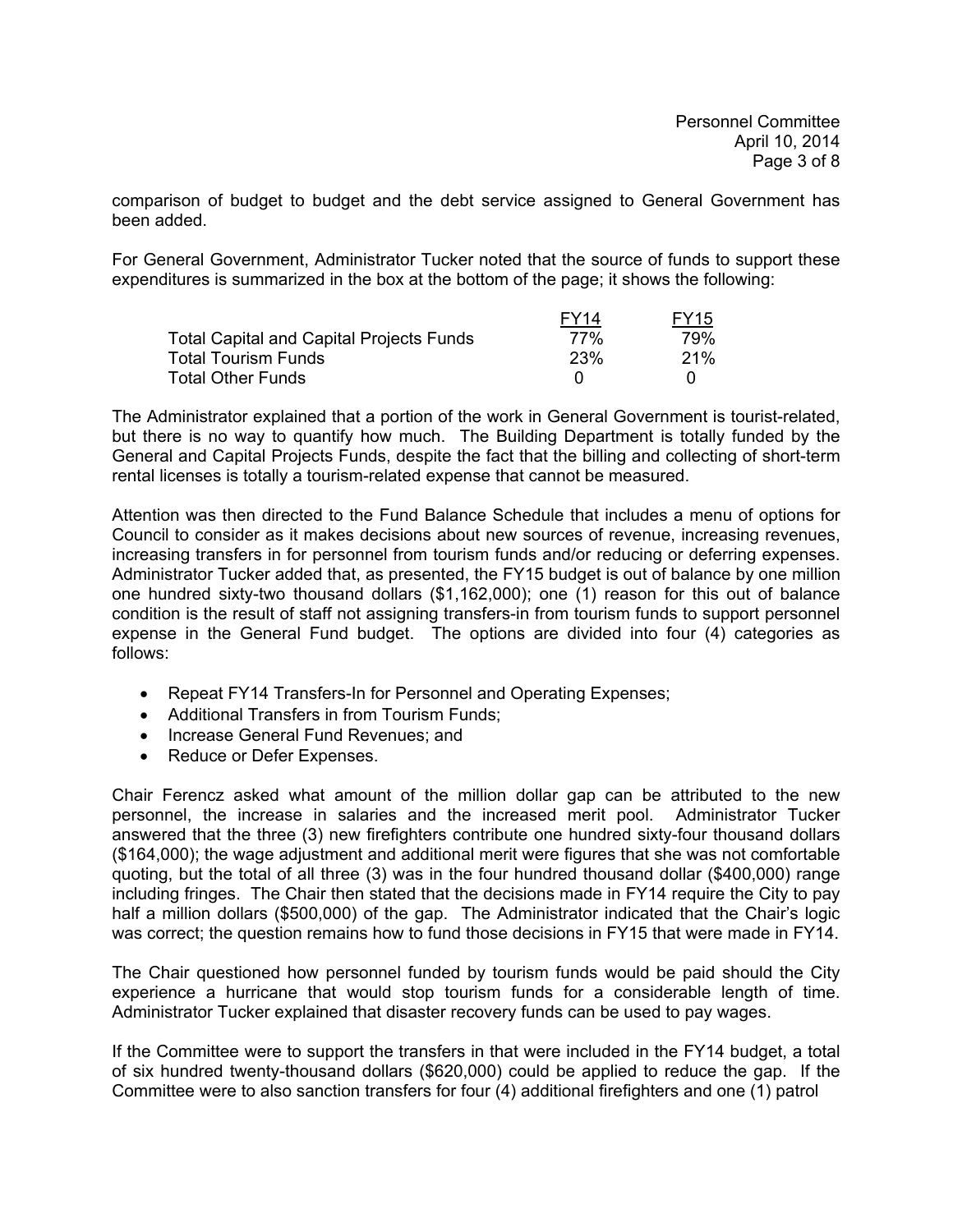comparison of budget to budget and the debt service assigned to General Government has been added.

For General Government, Administrator Tucker noted that the source of funds to support these expenditures is summarized in the box at the bottom of the page; it shows the following:

|                                                 | FY <sub>14</sub> | <b>FY15</b> |
|-------------------------------------------------|------------------|-------------|
| <b>Total Capital and Capital Projects Funds</b> | 77%              | 79%         |
| <b>Total Tourism Funds</b>                      | <b>23%</b>       | 21%         |
| <b>Total Other Funds</b>                        |                  |             |

The Administrator explained that a portion of the work in General Government is tourist-related, but there is no way to quantify how much. The Building Department is totally funded by the General and Capital Projects Funds, despite the fact that the billing and collecting of short-term rental licenses is totally a tourism-related expense that cannot be measured.

Attention was then directed to the Fund Balance Schedule that includes a menu of options for Council to consider as it makes decisions about new sources of revenue, increasing revenues, increasing transfers in for personnel from tourism funds and/or reducing or deferring expenses. Administrator Tucker added that, as presented, the FY15 budget is out of balance by one million one hundred sixty-two thousand dollars (\$1,162,000); one (1) reason for this out of balance condition is the result of staff not assigning transfers-in from tourism funds to support personnel expense in the General Fund budget. The options are divided into four (4) categories as follows:

- Repeat FY14 Transfers-In for Personnel and Operating Expenses;
- Additional Transfers in from Tourism Funds;
- Increase General Fund Revenues; and
- Reduce or Defer Expenses.

Chair Ferencz asked what amount of the million dollar gap can be attributed to the new personnel, the increase in salaries and the increased merit pool. Administrator Tucker answered that the three (3) new firefighters contribute one hundred sixty-four thousand dollars (\$164,000); the wage adjustment and additional merit were figures that she was not comfortable quoting, but the total of all three (3) was in the four hundred thousand dollar (\$400,000) range including fringes. The Chair then stated that the decisions made in FY14 require the City to pay half a million dollars (\$500,000) of the gap. The Administrator indicated that the Chair's logic was correct; the question remains how to fund those decisions in FY15 that were made in FY14.

The Chair questioned how personnel funded by tourism funds would be paid should the City experience a hurricane that would stop tourism funds for a considerable length of time. Administrator Tucker explained that disaster recovery funds can be used to pay wages.

If the Committee were to support the transfers in that were included in the FY14 budget, a total of six hundred twenty-thousand dollars (\$620,000) could be applied to reduce the gap. If the Committee were to also sanction transfers for four (4) additional firefighters and one (1) patrol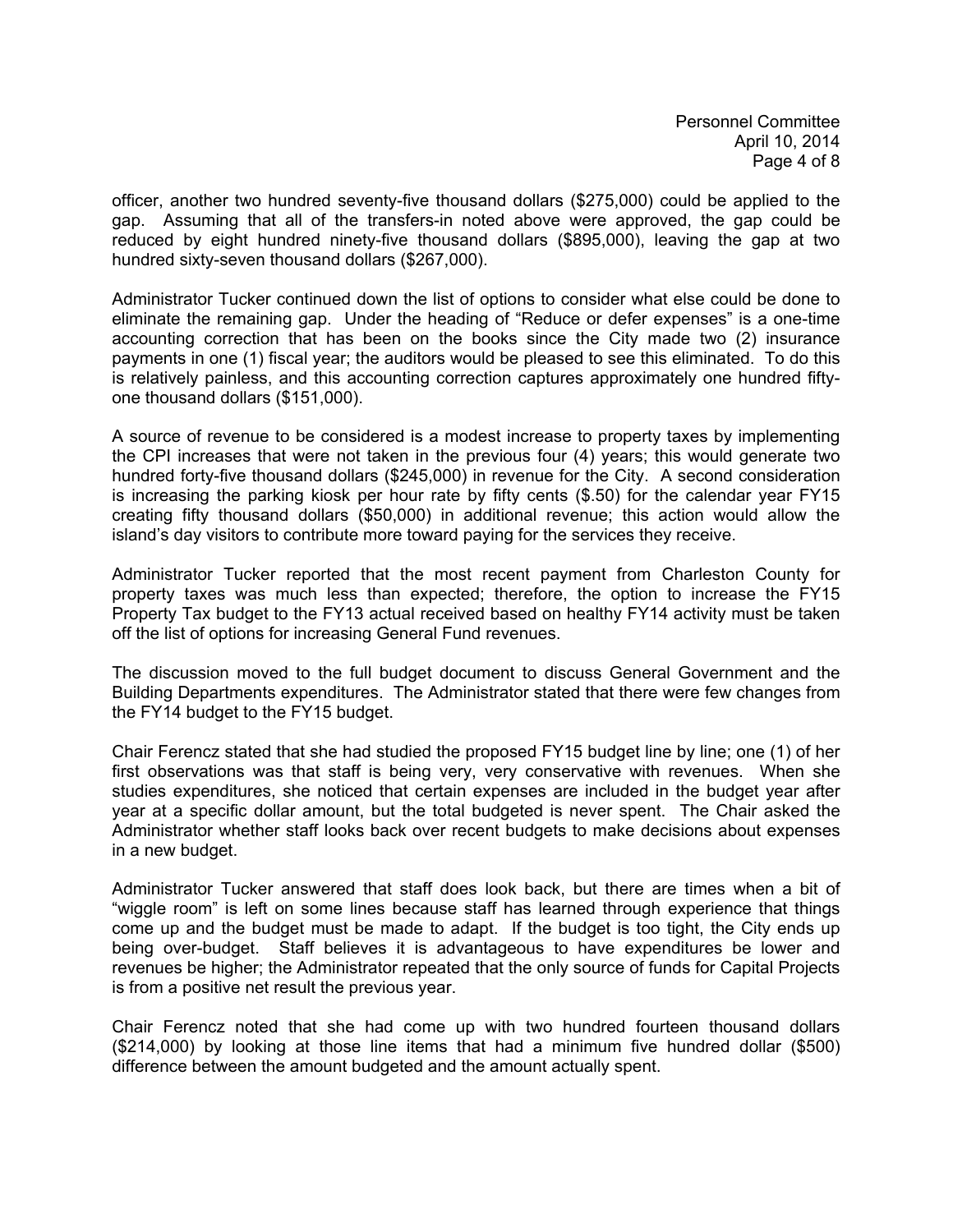officer, another two hundred seventy-five thousand dollars (\$275,000) could be applied to the gap. Assuming that all of the transfers-in noted above were approved, the gap could be reduced by eight hundred ninety-five thousand dollars (\$895,000), leaving the gap at two hundred sixty-seven thousand dollars (\$267,000).

Administrator Tucker continued down the list of options to consider what else could be done to eliminate the remaining gap. Under the heading of "Reduce or defer expenses" is a one-time accounting correction that has been on the books since the City made two (2) insurance payments in one (1) fiscal year; the auditors would be pleased to see this eliminated. To do this is relatively painless, and this accounting correction captures approximately one hundred fiftyone thousand dollars (\$151,000).

A source of revenue to be considered is a modest increase to property taxes by implementing the CPI increases that were not taken in the previous four (4) years; this would generate two hundred forty-five thousand dollars (\$245,000) in revenue for the City. A second consideration is increasing the parking kiosk per hour rate by fifty cents (\$.50) for the calendar year FY15 creating fifty thousand dollars (\$50,000) in additional revenue; this action would allow the island's day visitors to contribute more toward paying for the services they receive.

Administrator Tucker reported that the most recent payment from Charleston County for property taxes was much less than expected; therefore, the option to increase the FY15 Property Tax budget to the FY13 actual received based on healthy FY14 activity must be taken off the list of options for increasing General Fund revenues.

The discussion moved to the full budget document to discuss General Government and the Building Departments expenditures. The Administrator stated that there were few changes from the FY14 budget to the FY15 budget.

Chair Ferencz stated that she had studied the proposed FY15 budget line by line; one (1) of her first observations was that staff is being very, very conservative with revenues. When she studies expenditures, she noticed that certain expenses are included in the budget year after year at a specific dollar amount, but the total budgeted is never spent. The Chair asked the Administrator whether staff looks back over recent budgets to make decisions about expenses in a new budget.

Administrator Tucker answered that staff does look back, but there are times when a bit of "wiggle room" is left on some lines because staff has learned through experience that things come up and the budget must be made to adapt. If the budget is too tight, the City ends up being over-budget. Staff believes it is advantageous to have expenditures be lower and revenues be higher; the Administrator repeated that the only source of funds for Capital Projects is from a positive net result the previous year.

Chair Ferencz noted that she had come up with two hundred fourteen thousand dollars (\$214,000) by looking at those line items that had a minimum five hundred dollar (\$500) difference between the amount budgeted and the amount actually spent.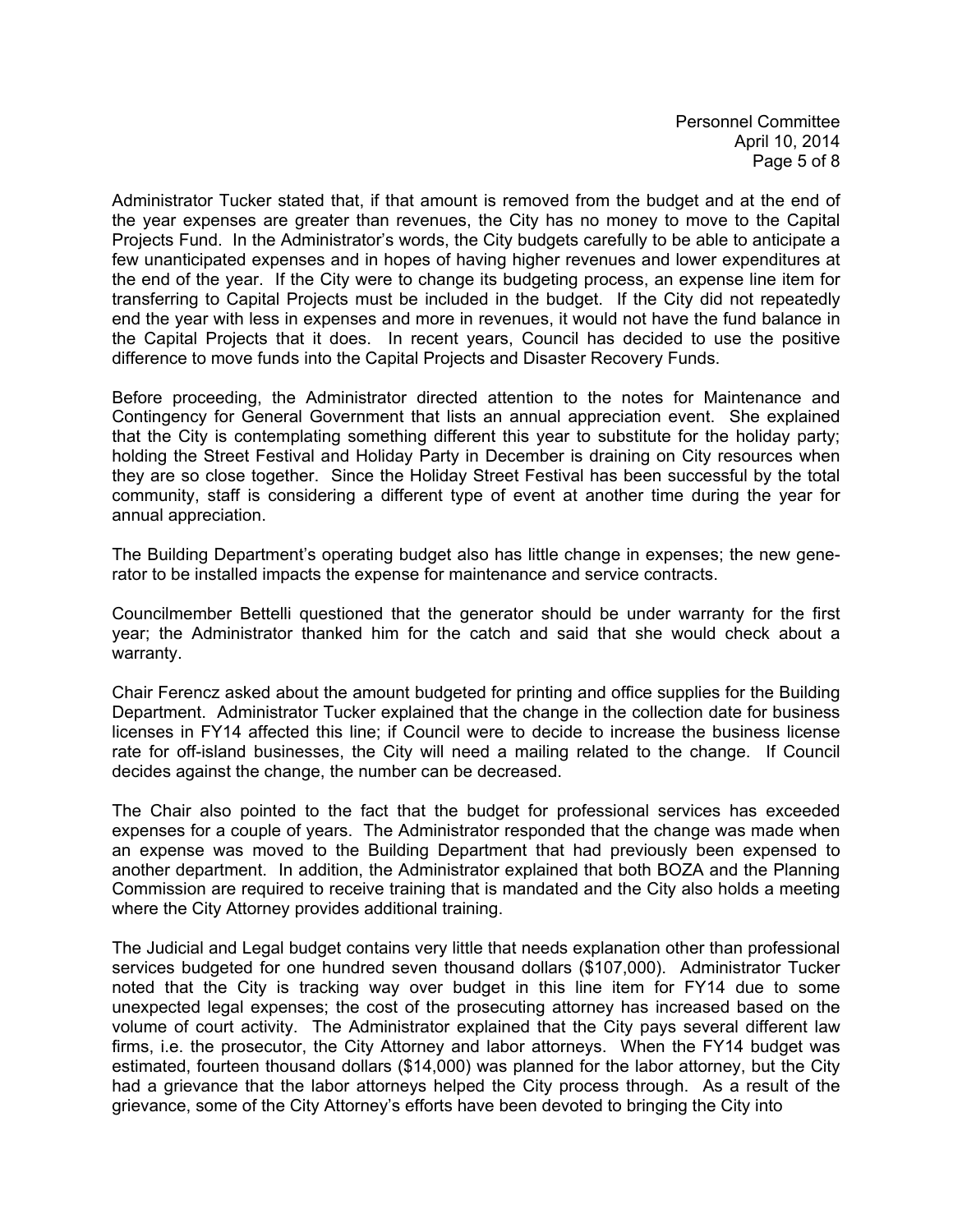Personnel Committee April 10, 2014 Page 5 of 8

Administrator Tucker stated that, if that amount is removed from the budget and at the end of the year expenses are greater than revenues, the City has no money to move to the Capital Projects Fund. In the Administrator's words, the City budgets carefully to be able to anticipate a few unanticipated expenses and in hopes of having higher revenues and lower expenditures at the end of the year. If the City were to change its budgeting process, an expense line item for transferring to Capital Projects must be included in the budget. If the City did not repeatedly end the year with less in expenses and more in revenues, it would not have the fund balance in the Capital Projects that it does. In recent years, Council has decided to use the positive difference to move funds into the Capital Projects and Disaster Recovery Funds.

Before proceeding, the Administrator directed attention to the notes for Maintenance and Contingency for General Government that lists an annual appreciation event. She explained that the City is contemplating something different this year to substitute for the holiday party; holding the Street Festival and Holiday Party in December is draining on City resources when they are so close together. Since the Holiday Street Festival has been successful by the total community, staff is considering a different type of event at another time during the year for annual appreciation.

The Building Department's operating budget also has little change in expenses; the new generator to be installed impacts the expense for maintenance and service contracts.

Councilmember Bettelli questioned that the generator should be under warranty for the first year; the Administrator thanked him for the catch and said that she would check about a warranty.

Chair Ferencz asked about the amount budgeted for printing and office supplies for the Building Department. Administrator Tucker explained that the change in the collection date for business licenses in FY14 affected this line; if Council were to decide to increase the business license rate for off-island businesses, the City will need a mailing related to the change. If Council decides against the change, the number can be decreased.

The Chair also pointed to the fact that the budget for professional services has exceeded expenses for a couple of years. The Administrator responded that the change was made when an expense was moved to the Building Department that had previously been expensed to another department. In addition, the Administrator explained that both BOZA and the Planning Commission are required to receive training that is mandated and the City also holds a meeting where the City Attorney provides additional training.

The Judicial and Legal budget contains very little that needs explanation other than professional services budgeted for one hundred seven thousand dollars (\$107,000). Administrator Tucker noted that the City is tracking way over budget in this line item for FY14 due to some unexpected legal expenses; the cost of the prosecuting attorney has increased based on the volume of court activity. The Administrator explained that the City pays several different law firms, i.e. the prosecutor, the City Attorney and labor attorneys. When the FY14 budget was estimated, fourteen thousand dollars (\$14,000) was planned for the labor attorney, but the City had a grievance that the labor attorneys helped the City process through. As a result of the grievance, some of the City Attorney's efforts have been devoted to bringing the City into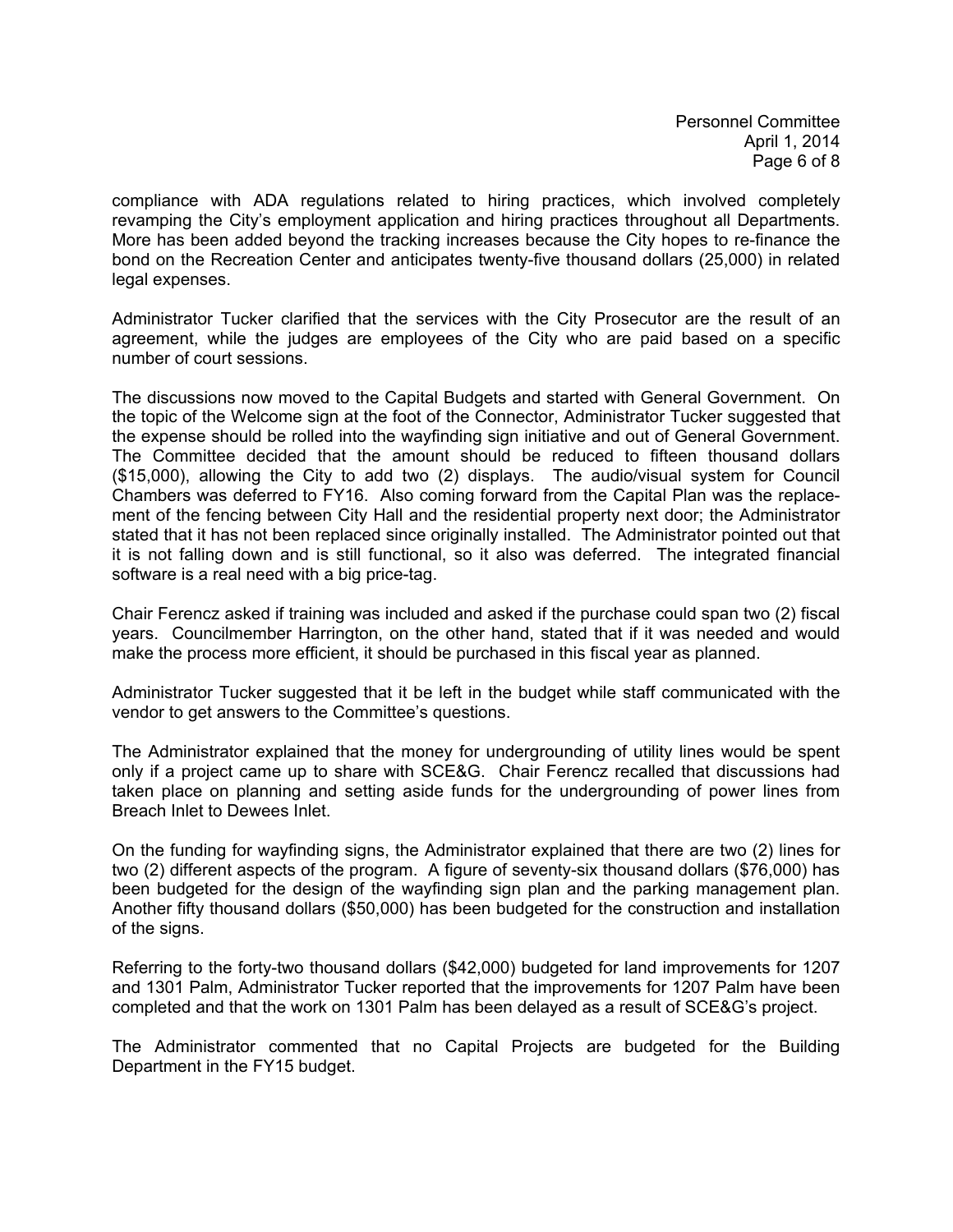Personnel Committee April 1, 2014 Page 6 of 8

compliance with ADA regulations related to hiring practices, which involved completely revamping the City's employment application and hiring practices throughout all Departments. More has been added beyond the tracking increases because the City hopes to re-finance the bond on the Recreation Center and anticipates twenty-five thousand dollars (25,000) in related legal expenses.

Administrator Tucker clarified that the services with the City Prosecutor are the result of an agreement, while the judges are employees of the City who are paid based on a specific number of court sessions.

The discussions now moved to the Capital Budgets and started with General Government. On the topic of the Welcome sign at the foot of the Connector, Administrator Tucker suggested that the expense should be rolled into the wayfinding sign initiative and out of General Government. The Committee decided that the amount should be reduced to fifteen thousand dollars (\$15,000), allowing the City to add two (2) displays. The audio/visual system for Council Chambers was deferred to FY16. Also coming forward from the Capital Plan was the replacement of the fencing between City Hall and the residential property next door; the Administrator stated that it has not been replaced since originally installed. The Administrator pointed out that it is not falling down and is still functional, so it also was deferred. The integrated financial software is a real need with a big price-tag.

Chair Ferencz asked if training was included and asked if the purchase could span two (2) fiscal years. Councilmember Harrington, on the other hand, stated that if it was needed and would make the process more efficient, it should be purchased in this fiscal year as planned.

Administrator Tucker suggested that it be left in the budget while staff communicated with the vendor to get answers to the Committee's questions.

The Administrator explained that the money for undergrounding of utility lines would be spent only if a project came up to share with SCE&G. Chair Ferencz recalled that discussions had taken place on planning and setting aside funds for the undergrounding of power lines from Breach Inlet to Dewees Inlet.

On the funding for wayfinding signs, the Administrator explained that there are two (2) lines for two (2) different aspects of the program. A figure of seventy-six thousand dollars (\$76,000) has been budgeted for the design of the wayfinding sign plan and the parking management plan. Another fifty thousand dollars (\$50,000) has been budgeted for the construction and installation of the signs.

Referring to the forty-two thousand dollars (\$42,000) budgeted for land improvements for 1207 and 1301 Palm, Administrator Tucker reported that the improvements for 1207 Palm have been completed and that the work on 1301 Palm has been delayed as a result of SCE&G's project.

The Administrator commented that no Capital Projects are budgeted for the Building Department in the FY15 budget.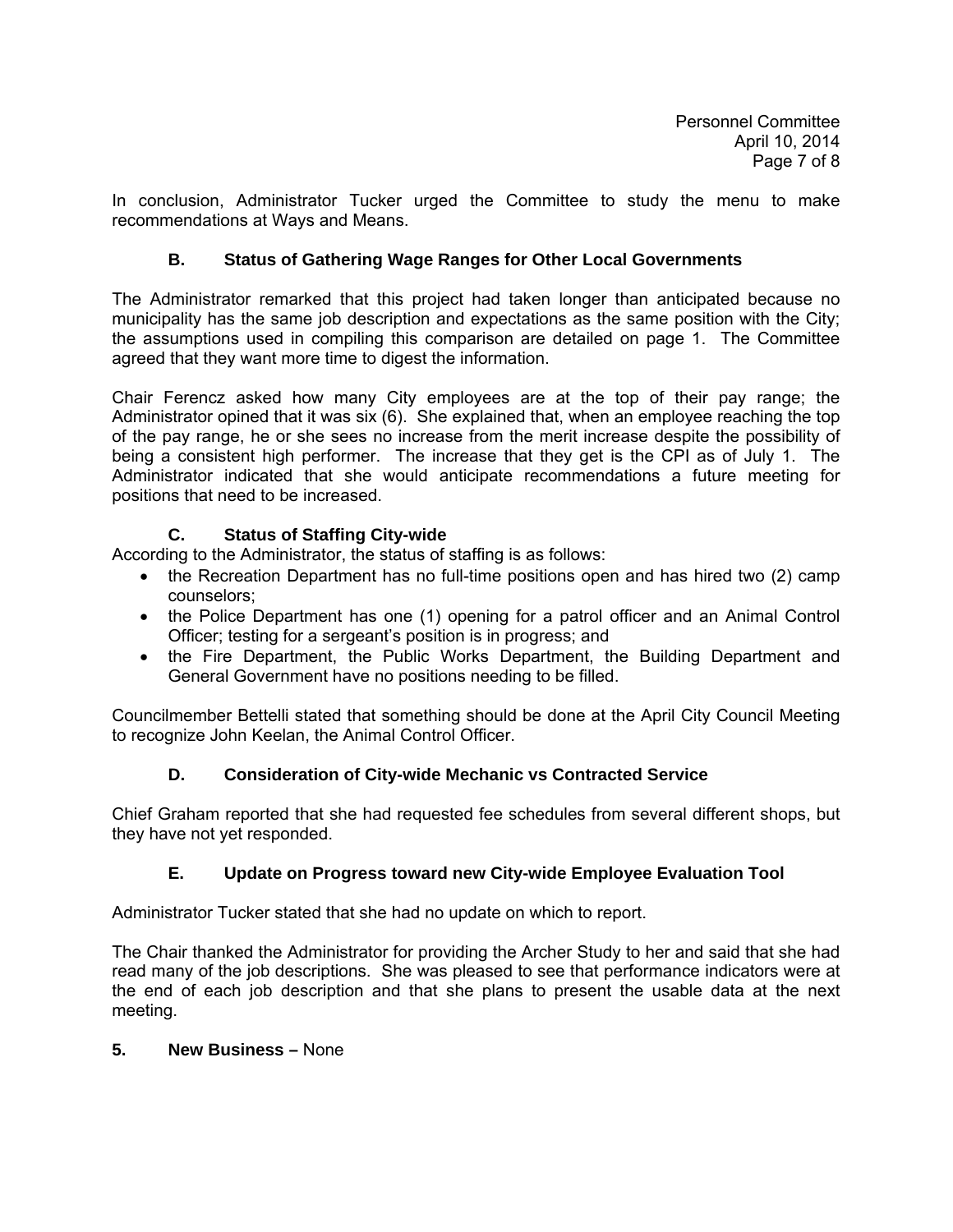In conclusion, Administrator Tucker urged the Committee to study the menu to make recommendations at Ways and Means.

# **B. Status of Gathering Wage Ranges for Other Local Governments**

The Administrator remarked that this project had taken longer than anticipated because no municipality has the same job description and expectations as the same position with the City; the assumptions used in compiling this comparison are detailed on page 1. The Committee agreed that they want more time to digest the information.

Chair Ferencz asked how many City employees are at the top of their pay range; the Administrator opined that it was six (6). She explained that, when an employee reaching the top of the pay range, he or she sees no increase from the merit increase despite the possibility of being a consistent high performer. The increase that they get is the CPI as of July 1. The Administrator indicated that she would anticipate recommendations a future meeting for positions that need to be increased.

# **C. Status of Staffing City-wide**

According to the Administrator, the status of staffing is as follows:

- the Recreation Department has no full-time positions open and has hired two (2) camp counselors;
- the Police Department has one (1) opening for a patrol officer and an Animal Control Officer; testing for a sergeant's position is in progress; and
- the Fire Department, the Public Works Department, the Building Department and General Government have no positions needing to be filled.

Councilmember Bettelli stated that something should be done at the April City Council Meeting to recognize John Keelan, the Animal Control Officer.

## **D. Consideration of City-wide Mechanic vs Contracted Service**

Chief Graham reported that she had requested fee schedules from several different shops, but they have not yet responded.

## **E. Update on Progress toward new City-wide Employee Evaluation Tool**

Administrator Tucker stated that she had no update on which to report.

The Chair thanked the Administrator for providing the Archer Study to her and said that she had read many of the job descriptions. She was pleased to see that performance indicators were at the end of each job description and that she plans to present the usable data at the next meeting.

## **5. New Business –** None